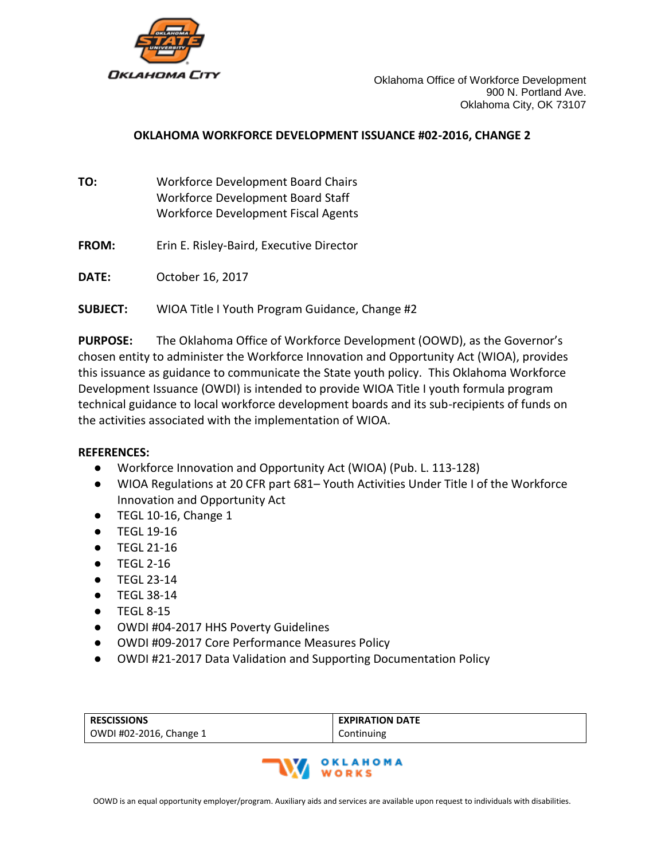

#### **OKLAHOMA WORKFORCE DEVELOPMENT ISSUANCE #02-2016, CHANGE 2**

- **TO:** Workforce Development Board Chairs Workforce Development Board Staff Workforce Development Fiscal Agents
- **FROM:** Erin E. Risley-Baird, Executive Director
- **DATE:** October 16, 2017
- **SUBJECT:** WIOA Title I Youth Program Guidance, Change #2

**PURPOSE:** The Oklahoma Office of Workforce Development (OOWD), as the Governor's chosen entity to administer the Workforce Innovation and Opportunity Act (WIOA), provides this issuance as guidance to communicate the State youth policy. This Oklahoma Workforce Development Issuance (OWDI) is intended to provide WIOA Title I youth formula program technical guidance to local workforce development boards and its sub-recipients of funds on the activities associated with the implementation of WIOA.

#### **REFERENCES:**

- Workforce Innovation and Opportunity Act (WIOA) (Pub. L. 113-128)
- WIOA Regulations at 20 CFR part 681– Youth Activities Under Title I of the Workforce Innovation and Opportunity Act
- TEGL 10-16, Change 1
- TEGL 19-16
- TEGL 21-16
- TEGL 2-16
- TEGL 23-14
- TEGL 38-14
- TEGL 8-15
- OWDI #04-2017 HHS Poverty Guidelines
- OWDI #09-2017 Core Performance Measures Policy
- OWDI #21-2017 Data Validation and Supporting Documentation Policy

| <b>RESCISSIONS</b>      | <b>EXPIRATION DATE</b> |
|-------------------------|------------------------|
| OWDI #02-2016, Change 1 | Continuing             |

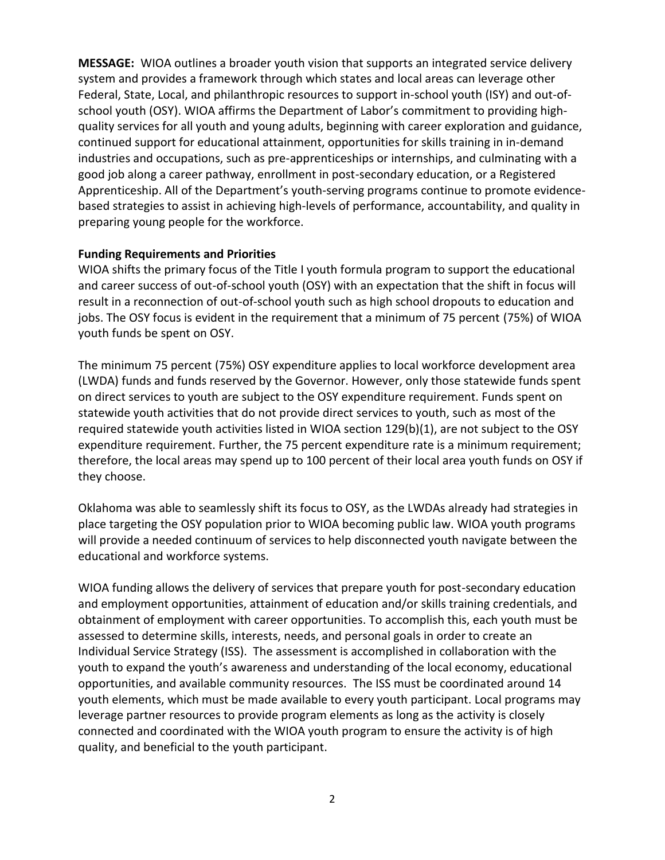**MESSAGE:** WIOA outlines a broader youth vision that supports an integrated service delivery system and provides a framework through which states and local areas can leverage other Federal, State, Local, and philanthropic resources to support in-school youth (ISY) and out-ofschool youth (OSY). WIOA affirms the Department of Labor's commitment to providing highquality services for all youth and young adults, beginning with career exploration and guidance, continued support for educational attainment, opportunities for skills training in in-demand industries and occupations, such as pre-apprenticeships or internships, and culminating with a good job along a career pathway, enrollment in post-secondary education, or a Registered Apprenticeship. All of the Department's youth-serving programs continue to promote evidencebased strategies to assist in achieving high-levels of performance, accountability, and quality in preparing young people for the workforce.

#### **Funding Requirements and Priorities**

WIOA shifts the primary focus of the Title I youth formula program to support the educational and career success of out-of-school youth (OSY) with an expectation that the shift in focus will result in a reconnection of out-of-school youth such as high school dropouts to education and jobs. The OSY focus is evident in the requirement that a minimum of 75 percent (75%) of WIOA youth funds be spent on OSY.

The minimum 75 percent (75%) OSY expenditure applies to local workforce development area (LWDA) funds and funds reserved by the Governor. However, only those statewide funds spent on direct services to youth are subject to the OSY expenditure requirement. Funds spent on statewide youth activities that do not provide direct services to youth, such as most of the required statewide youth activities listed in WIOA section 129(b)(1), are not subject to the OSY expenditure requirement. Further, the 75 percent expenditure rate is a minimum requirement; therefore, the local areas may spend up to 100 percent of their local area youth funds on OSY if they choose.

Oklahoma was able to seamlessly shift its focus to OSY, as the LWDAs already had strategies in place targeting the OSY population prior to WIOA becoming public law. WIOA youth programs will provide a needed continuum of services to help disconnected youth navigate between the educational and workforce systems.

WIOA funding allows the delivery of services that prepare youth for post-secondary education and employment opportunities, attainment of education and/or skills training credentials, and obtainment of employment with career opportunities. To accomplish this, each youth must be assessed to determine skills, interests, needs, and personal goals in order to create an Individual Service Strategy (ISS). The assessment is accomplished in collaboration with the youth to expand the youth's awareness and understanding of the local economy, educational opportunities, and available community resources. The ISS must be coordinated around 14 youth elements, which must be made available to every youth participant. Local programs may leverage partner resources to provide program elements as long as the activity is closely connected and coordinated with the WIOA youth program to ensure the activity is of high quality, and beneficial to the youth participant.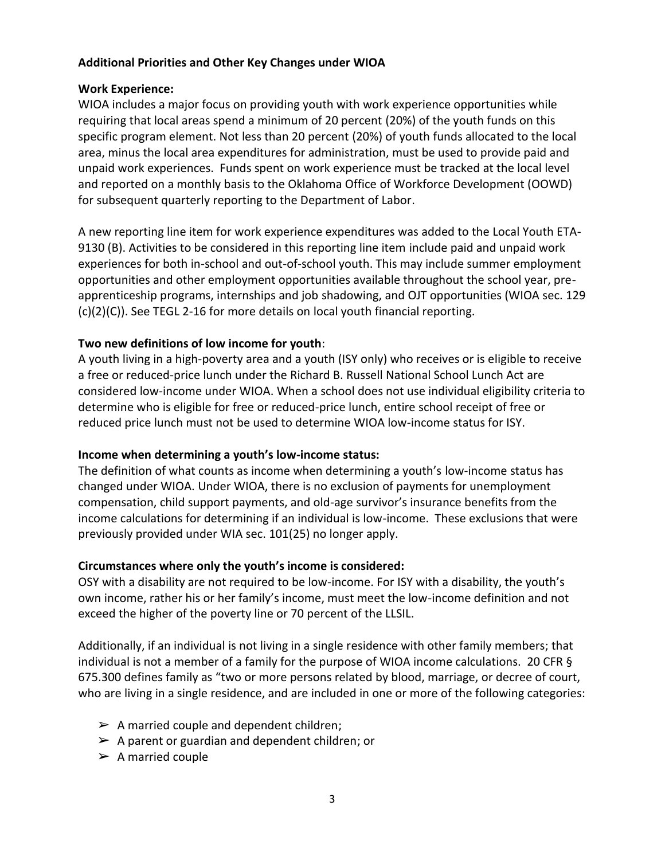#### **Additional Priorities and Other Key Changes under WIOA**

#### **Work Experience:**

WIOA includes a major focus on providing youth with work experience opportunities while requiring that local areas spend a minimum of 20 percent (20%) of the youth funds on this specific program element. Not less than 20 percent (20%) of youth funds allocated to the local area, minus the local area expenditures for administration, must be used to provide paid and unpaid work experiences. Funds spent on work experience must be tracked at the local level and reported on a monthly basis to the Oklahoma Office of Workforce Development (OOWD) for subsequent quarterly reporting to the Department of Labor.

A new reporting line item for work experience expenditures was added to the Local Youth ETA-9130 (B). Activities to be considered in this reporting line item include paid and unpaid work experiences for both in-school and out-of-school youth. This may include summer employment opportunities and other employment opportunities available throughout the school year, preapprenticeship programs, internships and job shadowing, and OJT opportunities (WIOA sec. 129 (c)(2)(C)). See TEGL 2-16 for more details on local youth financial reporting.

#### **Two new definitions of low income for youth**:

A youth living in a high-poverty area and a youth (ISY only) who receives or is eligible to receive a free or reduced-price lunch under the Richard B. Russell National School Lunch Act are considered low-income under WIOA. When a school does not use individual eligibility criteria to determine who is eligible for free or reduced-price lunch, entire school receipt of free or reduced price lunch must not be used to determine WIOA low-income status for ISY.

## **Income when determining a youth's low-income status:**

The definition of what counts as income when determining a youth's low-income status has changed under WIOA. Under WIOA, there is no exclusion of payments for unemployment compensation, child support payments, and old-age survivor's insurance benefits from the income calculations for determining if an individual is low-income. These exclusions that were previously provided under WIA sec. 101(25) no longer apply.

## **Circumstances where only the youth's income is considered:**

OSY with a disability are not required to be low-income. For ISY with a disability, the youth's own income, rather his or her family's income, must meet the low-income definition and not exceed the higher of the poverty line or 70 percent of the LLSIL.

Additionally, if an individual is not living in a single residence with other family members; that individual is not a member of a family for the purpose of WIOA income calculations. 20 CFR § 675.300 defines family as "two or more persons related by blood, marriage, or decree of court, who are living in a single residence, and are included in one or more of the following categories:

- $\triangleright$  A married couple and dependent children;
- $\triangleright$  A parent or guardian and dependent children; or
- $\triangleright$  A married couple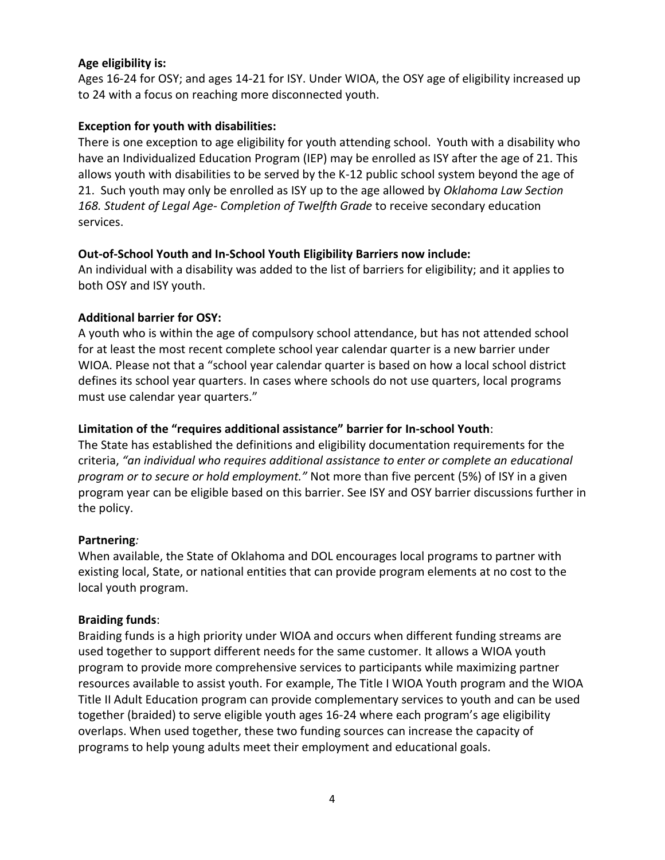#### **Age eligibility is:**

Ages 16-24 for OSY; and ages 14-21 for ISY. Under WIOA, the OSY age of eligibility increased up to 24 with a focus on reaching more disconnected youth.

#### **Exception for youth with disabilities:**

There is one exception to age eligibility for youth attending school. Youth with a disability who have an Individualized Education Program (IEP) may be enrolled as ISY after the age of 21. This allows youth with disabilities to be served by the K-12 public school system beyond the age of 21. Such youth may only be enrolled as ISY up to the age allowed by *Oklahoma Law Section 168. Student of Legal Age- Completion of Twelfth Grade* to receive secondary education services.

#### **Out-of-School Youth and In-School Youth Eligibility Barriers now include:**

An individual with a disability was added to the list of barriers for eligibility; and it applies to both OSY and ISY youth.

#### **Additional barrier for OSY:**

A youth who is within the age of compulsory school attendance, but has not attended school for at least the most recent complete school year calendar quarter is a new barrier under WIOA. Please not that a "school year calendar quarter is based on how a local school district defines its school year quarters. In cases where schools do not use quarters, local programs must use calendar year quarters."

#### **Limitation of the "requires additional assistance" barrier for In-school Youth**:

The State has established the definitions and eligibility documentation requirements for the criteria, *"an individual who requires additional assistance to enter or complete an educational program or to secure or hold employment."* Not more than five percent (5%) of ISY in a given program year can be eligible based on this barrier. See ISY and OSY barrier discussions further in the policy.

#### **Partnering***:*

When available, the State of Oklahoma and DOL encourages local programs to partner with existing local, State, or national entities that can provide program elements at no cost to the local youth program.

#### **Braiding funds**:

Braiding funds is a high priority under WIOA and occurs when different funding streams are used together to support different needs for the same customer. It allows a WIOA youth program to provide more comprehensive services to participants while maximizing partner resources available to assist youth. For example, The Title I WIOA Youth program and the WIOA Title II Adult Education program can provide complementary services to youth and can be used together (braided) to serve eligible youth ages 16-24 where each program's age eligibility overlaps. When used together, these two funding sources can increase the capacity of programs to help young adults meet their employment and educational goals.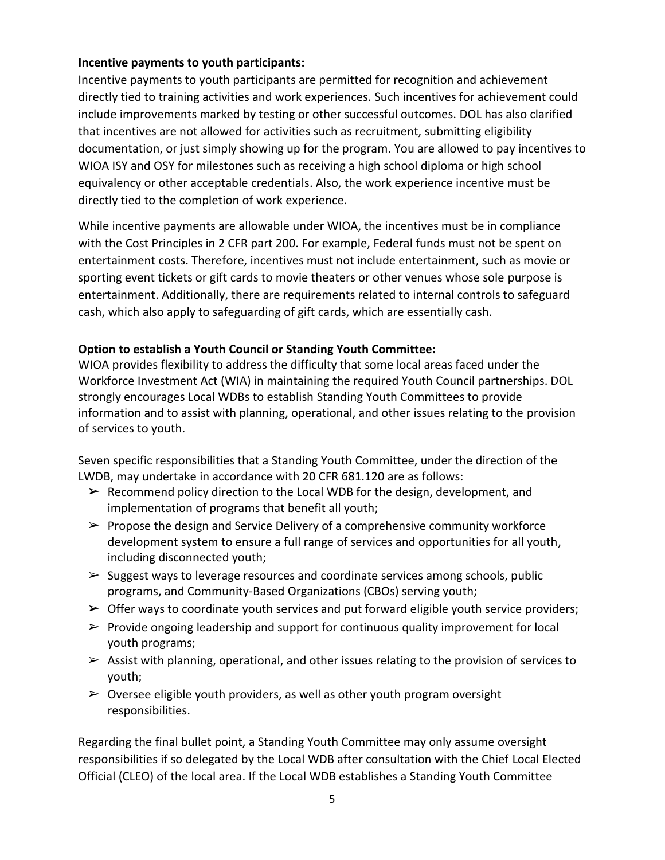## **Incentive payments to youth participants:**

Incentive payments to youth participants are permitted for recognition and achievement directly tied to training activities and work experiences. Such incentives for achievement could include improvements marked by testing or other successful outcomes. DOL has also clarified that incentives are not allowed for activities such as recruitment, submitting eligibility documentation, or just simply showing up for the program. You are allowed to pay incentives to WIOA ISY and OSY for milestones such as receiving a high school diploma or high school equivalency or other acceptable credentials. Also, the work experience incentive must be directly tied to the completion of work experience.

While incentive payments are allowable under WIOA, the incentives must be in compliance with the Cost Principles in 2 CFR part 200. For example, Federal funds must not be spent on entertainment costs. Therefore, incentives must not include entertainment, such as movie or sporting event tickets or gift cards to movie theaters or other venues whose sole purpose is entertainment. Additionally, there are requirements related to internal controls to safeguard cash, which also apply to safeguarding of gift cards, which are essentially cash.

## **Option to establish a Youth Council or Standing Youth Committee:**

WIOA provides flexibility to address the difficulty that some local areas faced under the Workforce Investment Act (WIA) in maintaining the required Youth Council partnerships. DOL strongly encourages Local WDBs to establish Standing Youth Committees to provide information and to assist with planning, operational, and other issues relating to the provision of services to youth.

Seven specific responsibilities that a Standing Youth Committee, under the direction of the LWDB, may undertake in accordance with 20 CFR 681.120 are as follows:

- $\triangleright$  Recommend policy direction to the Local WDB for the design, development, and implementation of programs that benefit all youth;
- $\triangleright$  Propose the design and Service Delivery of a comprehensive community workforce development system to ensure a full range of services and opportunities for all youth, including disconnected youth;
- $\triangleright$  Suggest ways to leverage resources and coordinate services among schools, public programs, and Community-Based Organizations (CBOs) serving youth;
- $\triangleright$  Offer ways to coordinate youth services and put forward eligible youth service providers;
- $\triangleright$  Provide ongoing leadership and support for continuous quality improvement for local youth programs;
- $\triangleright$  Assist with planning, operational, and other issues relating to the provision of services to youth;
- $\triangleright$  Oversee eligible youth providers, as well as other youth program oversight responsibilities.

Regarding the final bullet point, a Standing Youth Committee may only assume oversight responsibilities if so delegated by the Local WDB after consultation with the Chief Local Elected Official (CLEO) of the local area. If the Local WDB establishes a Standing Youth Committee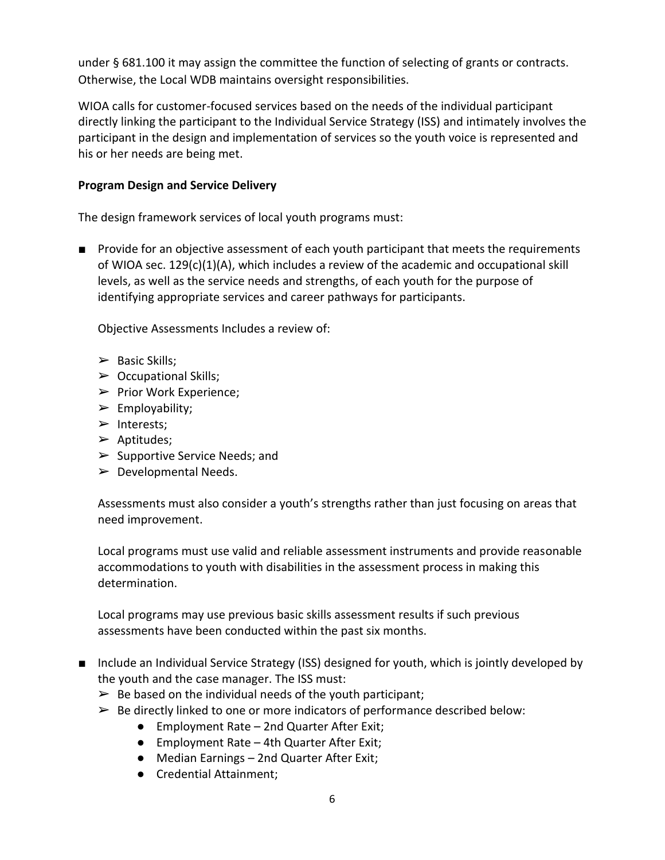under § 681.100 it may assign the committee the function of selecting of grants or contracts. Otherwise, the Local WDB maintains oversight responsibilities.

WIOA calls for customer-focused services based on the needs of the individual participant directly linking the participant to the Individual Service Strategy (ISS) and intimately involves the participant in the design and implementation of services so the youth voice is represented and his or her needs are being met.

## **Program Design and Service Delivery**

The design framework services of local youth programs must:

■ Provide for an objective assessment of each youth participant that meets the requirements of WIOA sec. 129(c)(1)(A), which includes a review of the academic and occupational skill levels, as well as the service needs and strengths, of each youth for the purpose of identifying appropriate services and career pathways for participants.

Objective Assessments Includes a review of:

- $\triangleright$  Basic Skills;
- $\triangleright$  Occupational Skills;
- $\triangleright$  Prior Work Experience;
- $\triangleright$  Employability;
- ➢ Interests;
- $\triangleright$  Aptitudes;
- $\triangleright$  Supportive Service Needs; and
- $\triangleright$  Developmental Needs.

Assessments must also consider a youth's strengths rather than just focusing on areas that need improvement.

Local programs must use valid and reliable assessment instruments and provide reasonable accommodations to youth with disabilities in the assessment process in making this determination.

Local programs may use previous basic skills assessment results if such previous assessments have been conducted within the past six months.

- Include an Individual Service Strategy (ISS) designed for youth, which is jointly developed by the youth and the case manager. The ISS must:
	- $\triangleright$  Be based on the individual needs of the youth participant;
	- $\triangleright$  Be directly linked to one or more indicators of performance described below:
		- Employment Rate 2nd Quarter After Exit;
		- Employment Rate 4th Quarter After Exit;
		- Median Earnings 2nd Quarter After Exit;
		- Credential Attainment;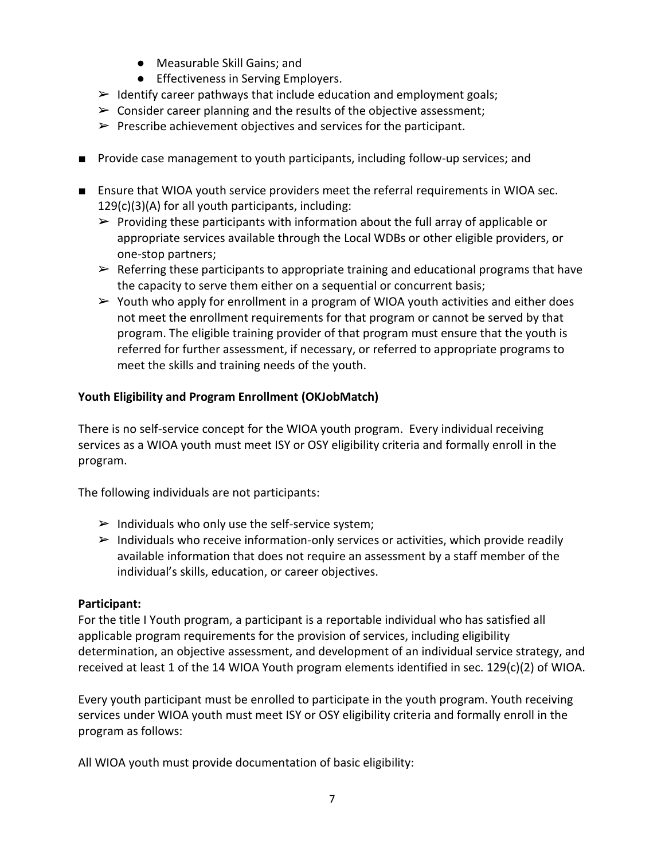- Measurable Skill Gains; and
- Effectiveness in Serving Employers.
- $\triangleright$  Identify career pathways that include education and employment goals;
- $\triangleright$  Consider career planning and the results of the objective assessment;
- $\triangleright$  Prescribe achievement objectives and services for the participant.
- Provide case management to youth participants, including follow-up services; and
- Ensure that WIOA youth service providers meet the referral requirements in WIOA sec. 129(c)(3)(A) for all youth participants, including:
	- $\triangleright$  Providing these participants with information about the full array of applicable or appropriate services available through the Local WDBs or other eligible providers, or one-stop partners;
	- $\triangleright$  Referring these participants to appropriate training and educational programs that have the capacity to serve them either on a sequential or concurrent basis;
	- $\triangleright$  Youth who apply for enrollment in a program of WIOA youth activities and either does not meet the enrollment requirements for that program or cannot be served by that program. The eligible training provider of that program must ensure that the youth is referred for further assessment, if necessary, or referred to appropriate programs to meet the skills and training needs of the youth.

## **Youth Eligibility and Program Enrollment (OKJobMatch)**

There is no self-service concept for the WIOA youth program. Every individual receiving services as a WIOA youth must meet ISY or OSY eligibility criteria and formally enroll in the program.

The following individuals are not participants:

- $\triangleright$  Individuals who only use the self-service system;
- $\triangleright$  Individuals who receive information-only services or activities, which provide readily available information that does not require an assessment by a staff member of the individual's skills, education, or career objectives.

## **Participant:**

For the title I Youth program, a participant is a reportable individual who has satisfied all applicable program requirements for the provision of services, including eligibility determination, an objective assessment, and development of an individual service strategy, and received at least 1 of the 14 WIOA Youth program elements identified in sec. 129(c)(2) of WIOA.

Every youth participant must be enrolled to participate in the youth program. Youth receiving services under WIOA youth must meet ISY or OSY eligibility criteria and formally enroll in the program as follows:

All WIOA youth must provide documentation of basic eligibility: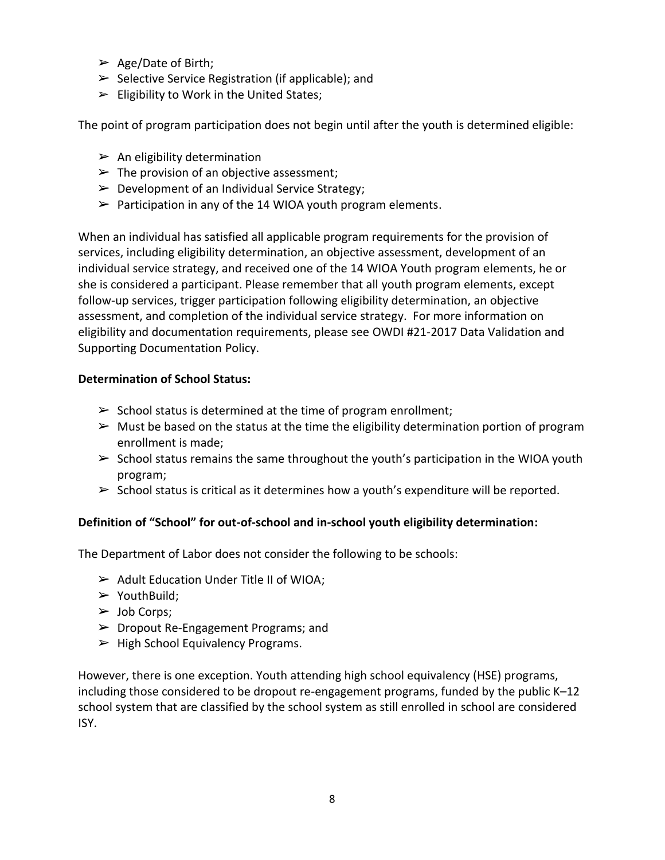- $\triangleright$  Age/Date of Birth;
- $\triangleright$  Selective Service Registration (if applicable); and
- $\blacktriangleright$  Eligibility to Work in the United States;

The point of program participation does not begin until after the youth is determined eligible:

- $\triangleright$  An eligibility determination
- $\triangleright$  The provision of an objective assessment;
- $\triangleright$  Development of an Individual Service Strategy;
- $\triangleright$  Participation in any of the 14 WIOA youth program elements.

When an individual has satisfied all applicable program requirements for the provision of services, including eligibility determination, an objective assessment, development of an individual service strategy, and received one of the 14 WIOA Youth program elements, he or she is considered a participant. Please remember that all youth program elements, except follow-up services, trigger participation following eligibility determination, an objective assessment, and completion of the individual service strategy. For more information on eligibility and documentation requirements, please see OWDI #21-2017 Data Validation and Supporting Documentation Policy.

#### **Determination of School Status:**

- $\triangleright$  School status is determined at the time of program enrollment;
- $\triangleright$  Must be based on the status at the time the eligibility determination portion of program enrollment is made;
- $\triangleright$  School status remains the same throughout the youth's participation in the WIOA youth program;
- $\triangleright$  School status is critical as it determines how a youth's expenditure will be reported.

## **Definition of "School" for out-of-school and in-school youth eligibility determination:**

The Department of Labor does not consider the following to be schools:

- ➢ Adult Education Under Title II of WIOA;
- $\triangleright$  YouthBuild;
- $\triangleright$  Job Corps;
- ➢ Dropout Re-Engagement Programs; and
- $\blacktriangleright$  High School Equivalency Programs.

However, there is one exception. Youth attending high school equivalency (HSE) programs, including those considered to be dropout re-engagement programs, funded by the public K–12 school system that are classified by the school system as still enrolled in school are considered ISY.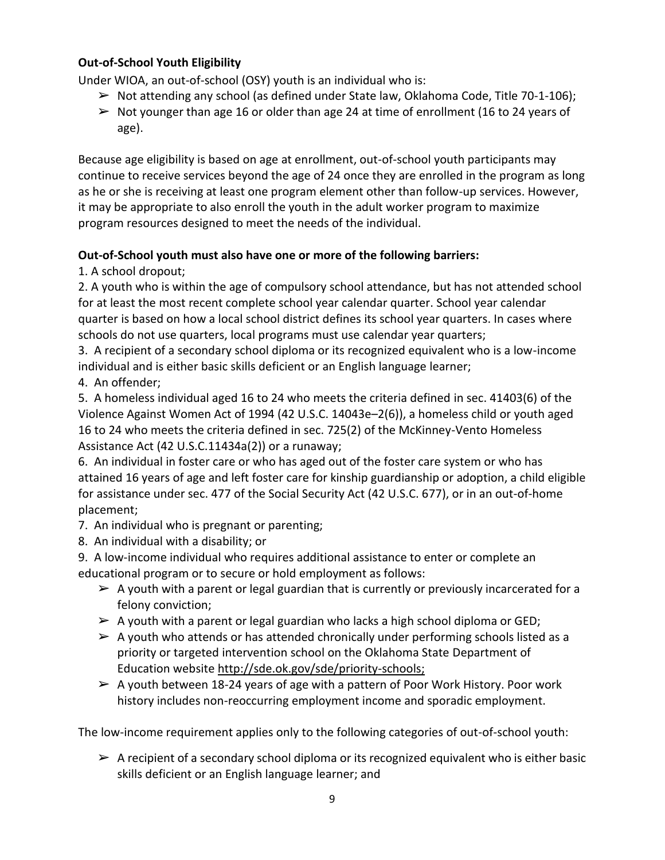## **Out-of-School Youth Eligibility**

Under WIOA, an out-of-school (OSY) youth is an individual who is:

- $\triangleright$  Not attending any school (as defined under State law, Oklahoma Code, Title 70-1-106);
- $\triangleright$  Not younger than age 16 or older than age 24 at time of enrollment (16 to 24 years of age).

Because age eligibility is based on age at enrollment, out-of-school youth participants may continue to receive services beyond the age of 24 once they are enrolled in the program as long as he or she is receiving at least one program element other than follow-up services. However, it may be appropriate to also enroll the youth in the adult worker program to maximize program resources designed to meet the needs of the individual.

## **Out-of-School youth must also have one or more of the following barriers:**

1. A school dropout;

2. A youth who is within the age of compulsory school attendance, but has not attended school for at least the most recent complete school year calendar quarter. School year calendar quarter is based on how a local school district defines its school year quarters. In cases where schools do not use quarters, local programs must use calendar year quarters;

3. A recipient of a secondary school diploma or its recognized equivalent who is a low-income individual and is either basic skills deficient or an English language learner;

4. An offender;

5. A homeless individual aged 16 to 24 who meets the criteria defined in sec. 41403(6) of the Violence Against Women Act of 1994 (42 U.S.C. 14043e–2(6)), a homeless child or youth aged 16 to 24 who meets the criteria defined in sec. 725(2) of the McKinney-Vento Homeless Assistance Act (42 U.S.C.11434a(2)) or a runaway;

6. An individual in foster care or who has aged out of the foster care system or who has attained 16 years of age and left foster care for kinship guardianship or adoption, a child eligible for assistance under sec. 477 of the Social Security Act (42 U.S.C. 677), or in an out-of-home placement;

7. An individual who is pregnant or parenting;

8. An individual with a disability; or

9. A low-income individual who requires additional assistance to enter or complete an educational program or to secure or hold employment as follows:

- $\triangleright$  A youth with a parent or legal guardian that is currently or previously incarcerated for a felony conviction;
- $\triangleright$  A youth with a parent or legal guardian who lacks a high school diploma or GED;
- $\triangleright$  A youth who attends or has attended chronically under performing schools listed as a priority or targeted intervention school on the Oklahoma State Department of Education website http://sde.ok.gov/sde/priority-schools;
- $\triangleright$  A youth between 18-24 years of age with a pattern of Poor Work History. Poor work history includes non-reoccurring employment income and sporadic employment.

The low-income requirement applies only to the following categories of out-of-school youth:

 $\triangleright$  A recipient of a secondary school diploma or its recognized equivalent who is either basic skills deficient or an English language learner; and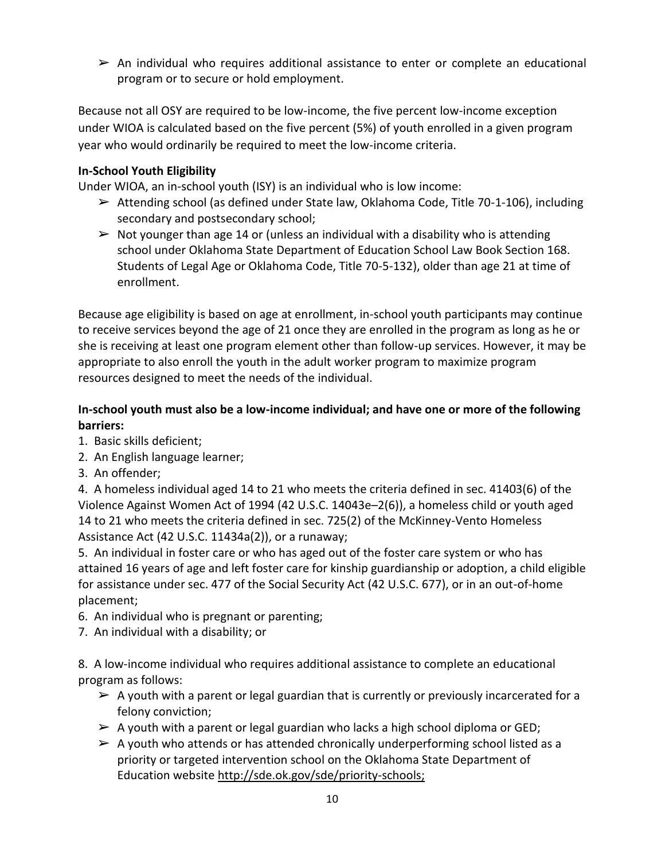$\triangleright$  An individual who requires additional assistance to enter or complete an educational program or to secure or hold employment.

Because not all OSY are required to be low-income, the five percent low-income exception under WIOA is calculated based on the five percent (5%) of youth enrolled in a given program year who would ordinarily be required to meet the low-income criteria.

## **In-School Youth Eligibility**

Under WIOA, an in-school youth (ISY) is an individual who is low income:

- ➢ Attending school (as defined under State law, Oklahoma Code, Title 70-1-106), including secondary and postsecondary school;
- $\triangleright$  Not younger than age 14 or (unless an individual with a disability who is attending school under Oklahoma State Department of Education School Law Book Section 168. Students of Legal Age or Oklahoma Code, Title 70-5-132), older than age 21 at time of enrollment.

Because age eligibility is based on age at enrollment, in-school youth participants may continue to receive services beyond the age of 21 once they are enrolled in the program as long as he or she is receiving at least one program element other than follow-up services. However, it may be appropriate to also enroll the youth in the adult worker program to maximize program resources designed to meet the needs of the individual.

## **In-school youth must also be a low-income individual; and have one or more of the following barriers:**

- 1. Basic skills deficient;
- 2. An English language learner;
- 3. An offender;

4. A homeless individual aged 14 to 21 who meets the criteria defined in sec. 41403(6) of the Violence Against Women Act of 1994 (42 U.S.C. 14043e–2(6)), a homeless child or youth aged 14 to 21 who meets the criteria defined in sec. 725(2) of the McKinney-Vento Homeless Assistance Act (42 U.S.C. 11434a(2)), or a runaway;

5. An individual in foster care or who has aged out of the foster care system or who has attained 16 years of age and left foster care for kinship guardianship or adoption, a child eligible for assistance under sec. 477 of the Social Security Act (42 U.S.C. 677), or in an out-of-home placement;

- 6. An individual who is pregnant or parenting;
- 7. An individual with a disability; or

8. A low-income individual who requires additional assistance to complete an educational program as follows:

- $\triangleright$  A youth with a parent or legal guardian that is currently or previously incarcerated for a felony conviction;
- $\triangleright$  A youth with a parent or legal guardian who lacks a high school diploma or GED;
- $\triangleright$  A youth who attends or has attended chronically underperforming school listed as a priority or targeted intervention school on the Oklahoma State Department of Education website http://sde.ok.gov/sde/priority-schools;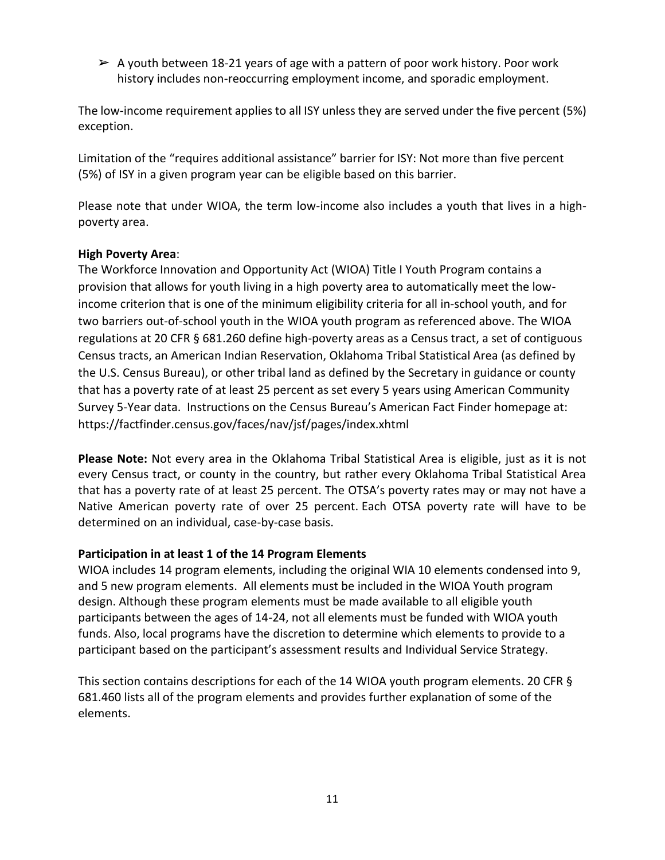$\triangleright$  A youth between 18-21 years of age with a pattern of poor work history. Poor work history includes non-reoccurring employment income, and sporadic employment.

The low-income requirement applies to all ISY unless they are served under the five percent (5%) exception.

Limitation of the "requires additional assistance" barrier for ISY: Not more than five percent (5%) of ISY in a given program year can be eligible based on this barrier.

Please note that under WIOA, the term low-income also includes a youth that lives in a highpoverty area.

#### **High Poverty Area**:

The Workforce Innovation and Opportunity Act (WIOA) Title I Youth Program contains a provision that allows for youth living in a high poverty area to automatically meet the lowincome criterion that is one of the minimum eligibility criteria for all in-school youth, and for two barriers out-of-school youth in the WIOA youth program as referenced above. The WIOA regulations at 20 CFR § 681.260 define high-poverty areas as a Census tract, a set of contiguous Census tracts, an American Indian Reservation, Oklahoma Tribal Statistical Area (as defined by the U.S. Census Bureau), or other tribal land as defined by the Secretary in guidance or county that has a poverty rate of at least 25 percent as set every 5 years using American Community Survey 5-Year data. Instructions on the Census Bureau's American Fact Finder homepage at: https://factfinder.census.gov/faces/nav/jsf/pages/index.xhtml

**Please Note:** Not every area in the Oklahoma Tribal Statistical Area is eligible, just as it is not every Census tract, or county in the country, but rather every Oklahoma Tribal Statistical Area that has a poverty rate of at least 25 percent. The OTSA's poverty rates may or may not have a Native American poverty rate of over 25 percent. Each OTSA poverty rate will have to be determined on an individual, case-by-case basis.

## **Participation in at least 1 of the 14 Program Elements**

WIOA includes 14 program elements, including the original WIA 10 elements condensed into 9, and 5 new program elements. All elements must be included in the WIOA Youth program design. Although these program elements must be made available to all eligible youth participants between the ages of 14-24, not all elements must be funded with WIOA youth funds. Also, local programs have the discretion to determine which elements to provide to a participant based on the participant's assessment results and Individual Service Strategy.

This section contains descriptions for each of the 14 WIOA youth program elements. 20 CFR § 681.460 lists all of the program elements and provides further explanation of some of the elements.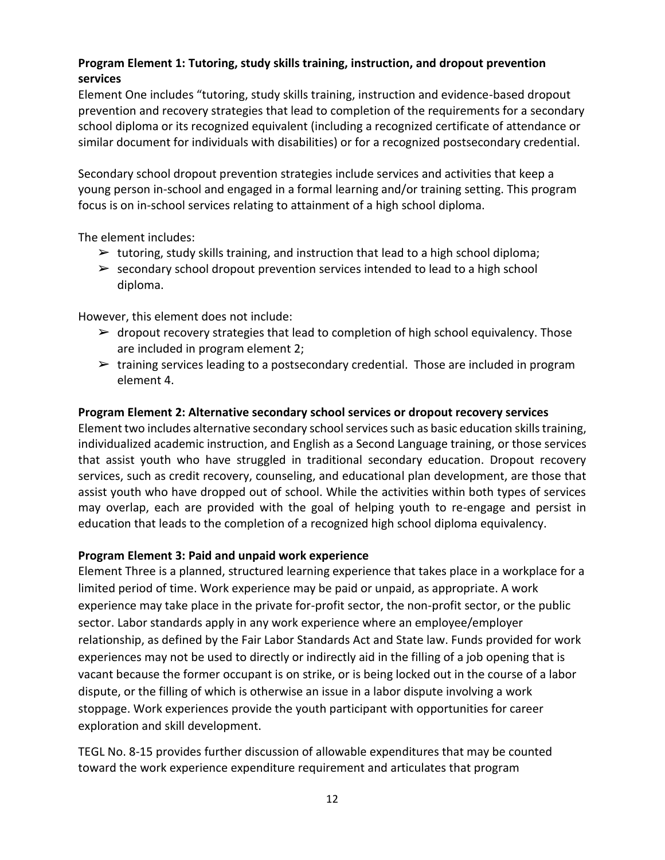# **Program Element 1: Tutoring, study skills training, instruction, and dropout prevention services**

Element One includes "tutoring, study skills training, instruction and evidence-based dropout prevention and recovery strategies that lead to completion of the requirements for a secondary school diploma or its recognized equivalent (including a recognized certificate of attendance or similar document for individuals with disabilities) or for a recognized postsecondary credential.

Secondary school dropout prevention strategies include services and activities that keep a young person in-school and engaged in a formal learning and/or training setting. This program focus is on in-school services relating to attainment of a high school diploma.

The element includes:

- $\triangleright$  tutoring, study skills training, and instruction that lead to a high school diploma;
- $\triangleright$  secondary school dropout prevention services intended to lead to a high school diploma.

However, this element does not include:

- $\triangleright$  dropout recovery strategies that lead to completion of high school equivalency. Those are included in program element 2;
- $\triangleright$  training services leading to a postsecondary credential. Those are included in program element 4.

#### **Program Element 2: Alternative secondary school services or dropout recovery services**

Element two includes alternative secondary school services such as basic education skills training, individualized academic instruction, and English as a Second Language training, or those services that assist youth who have struggled in traditional secondary education. Dropout recovery services, such as credit recovery, counseling, and educational plan development, are those that assist youth who have dropped out of school. While the activities within both types of services may overlap, each are provided with the goal of helping youth to re-engage and persist in education that leads to the completion of a recognized high school diploma equivalency.

#### **Program Element 3: Paid and unpaid work experience**

Element Three is a planned, structured learning experience that takes place in a workplace for a limited period of time. Work experience may be paid or unpaid, as appropriate. A work experience may take place in the private for-profit sector, the non-profit sector, or the public sector. Labor standards apply in any work experience where an employee/employer relationship, as defined by the Fair Labor Standards Act and State law. Funds provided for work experiences may not be used to directly or indirectly aid in the filling of a job opening that is vacant because the former occupant is on strike, or is being locked out in the course of a labor dispute, or the filling of which is otherwise an issue in a labor dispute involving a work stoppage. Work experiences provide the youth participant with opportunities for career exploration and skill development.

TEGL No. 8-15 provides further discussion of allowable expenditures that may be counted toward the work experience expenditure requirement and articulates that program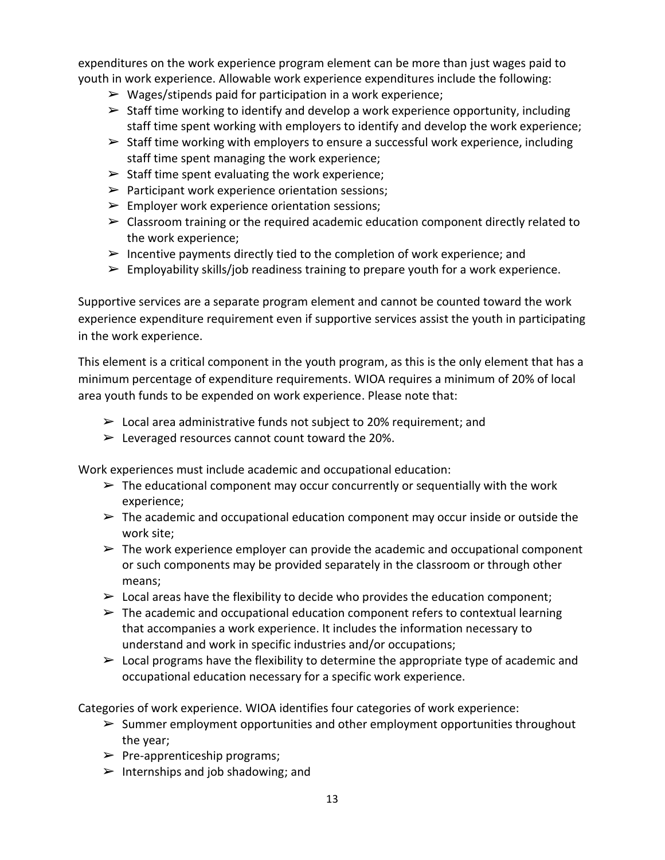expenditures on the work experience program element can be more than just wages paid to youth in work experience. Allowable work experience expenditures include the following:

- $\triangleright$  Wages/stipends paid for participation in a work experience;
- $\triangleright$  Staff time working to identify and develop a work experience opportunity, including staff time spent working with employers to identify and develop the work experience;
- $\triangleright$  Staff time working with employers to ensure a successful work experience, including staff time spent managing the work experience;
- $\triangleright$  Staff time spent evaluating the work experience;
- $\triangleright$  Participant work experience orientation sessions;
- $\triangleright$  Employer work experience orientation sessions;
- $\triangleright$  Classroom training or the required academic education component directly related to the work experience;
- $\triangleright$  Incentive payments directly tied to the completion of work experience; and
- $\triangleright$  Employability skills/job readiness training to prepare youth for a work experience.

Supportive services are a separate program element and cannot be counted toward the work experience expenditure requirement even if supportive services assist the youth in participating in the work experience.

This element is a critical component in the youth program, as this is the only element that has a minimum percentage of expenditure requirements. WIOA requires a minimum of 20% of local area youth funds to be expended on work experience. Please note that:

- $\geq$  Local area administrative funds not subject to 20% requirement; and
- $\triangleright$  Leveraged resources cannot count toward the 20%.

Work experiences must include academic and occupational education:

- $\triangleright$  The educational component may occur concurrently or sequentially with the work experience;
- $\triangleright$  The academic and occupational education component may occur inside or outside the work site;
- $\triangleright$  The work experience employer can provide the academic and occupational component or such components may be provided separately in the classroom or through other means;
- $\triangleright$  Local areas have the flexibility to decide who provides the education component;
- $\triangleright$  The academic and occupational education component refers to contextual learning that accompanies a work experience. It includes the information necessary to understand and work in specific industries and/or occupations;
- $\triangleright$  Local programs have the flexibility to determine the appropriate type of academic and occupational education necessary for a specific work experience.

Categories of work experience. WIOA identifies four categories of work experience:

- $\triangleright$  Summer employment opportunities and other employment opportunities throughout the year;
- $\triangleright$  Pre-apprenticeship programs;
- $\triangleright$  Internships and job shadowing; and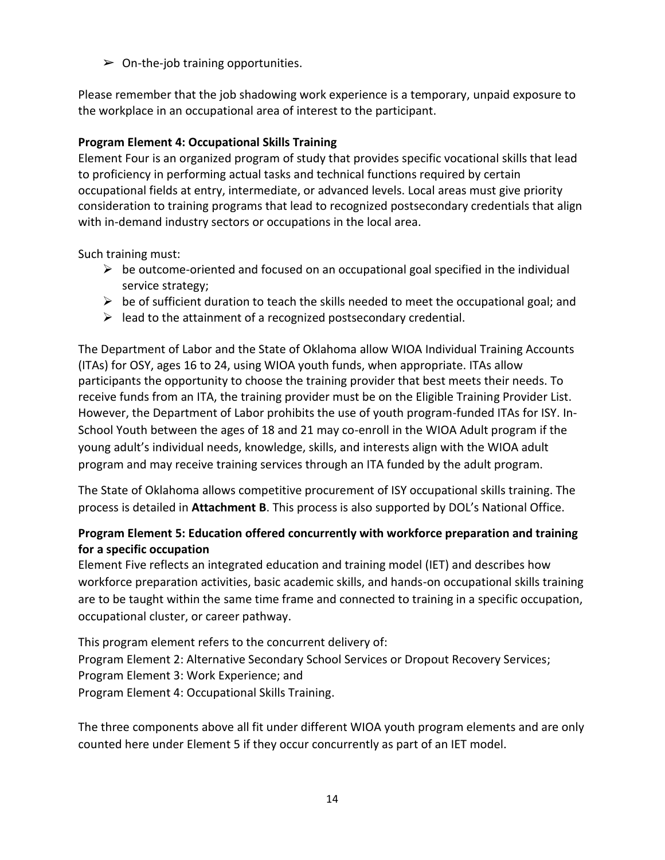$\triangleright$  On-the-job training opportunities.

Please remember that the job shadowing work experience is a temporary, unpaid exposure to the workplace in an occupational area of interest to the participant.

## **Program Element 4: Occupational Skills Training**

Element Four is an organized program of study that provides specific vocational skills that lead to proficiency in performing actual tasks and technical functions required by certain occupational fields at entry, intermediate, or advanced levels. Local areas must give priority consideration to training programs that lead to recognized postsecondary credentials that align with in-demand industry sectors or occupations in the local area.

Such training must:

- $\triangleright$  be outcome-oriented and focused on an occupational goal specified in the individual service strategy;
- $\triangleright$  be of sufficient duration to teach the skills needed to meet the occupational goal; and
- $\triangleright$  lead to the attainment of a recognized postsecondary credential.

The Department of Labor and the State of Oklahoma allow WIOA Individual Training Accounts (ITAs) for OSY, ages 16 to 24, using WIOA youth funds, when appropriate. ITAs allow participants the opportunity to choose the training provider that best meets their needs. To receive funds from an ITA, the training provider must be on the Eligible Training Provider List. However, the Department of Labor prohibits the use of youth program-funded ITAs for ISY. In-School Youth between the ages of 18 and 21 may co-enroll in the WIOA Adult program if the young adult's individual needs, knowledge, skills, and interests align with the WIOA adult program and may receive training services through an ITA funded by the adult program.

The State of Oklahoma allows competitive procurement of ISY occupational skills training. The process is detailed in **Attachment B**. This process is also supported by DOL's National Office.

## **Program Element 5: Education offered concurrently with workforce preparation and training for a specific occupation**

Element Five reflects an integrated education and training model (IET) and describes how workforce preparation activities, basic academic skills, and hands-on occupational skills training are to be taught within the same time frame and connected to training in a specific occupation, occupational cluster, or career pathway.

This program element refers to the concurrent delivery of: Program Element 2: Alternative Secondary School Services or Dropout Recovery Services; Program Element 3: Work Experience; and Program Element 4: Occupational Skills Training.

The three components above all fit under different WIOA youth program elements and are only counted here under Element 5 if they occur concurrently as part of an IET model.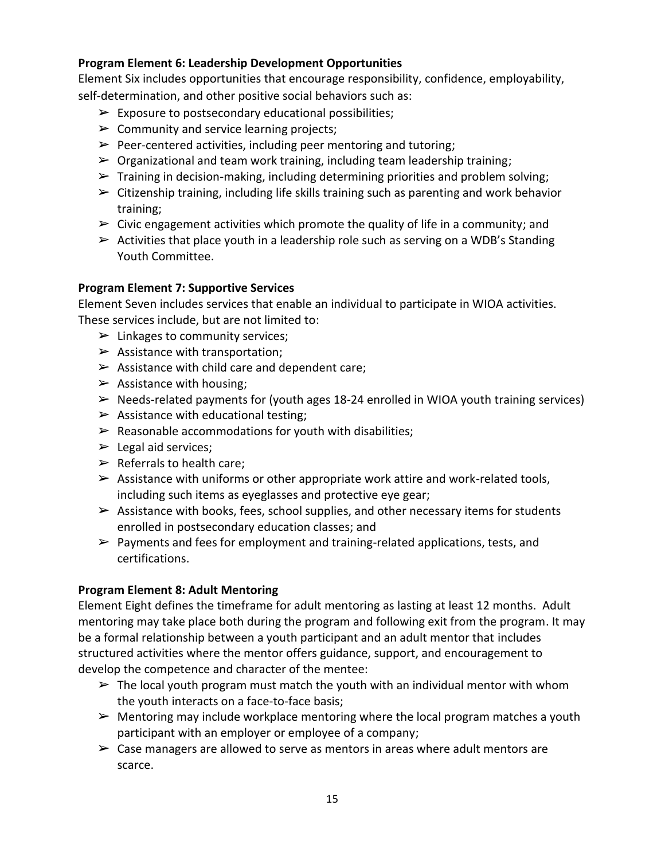#### **Program Element 6: Leadership Development Opportunities**

Element Six includes opportunities that encourage responsibility, confidence, employability, self-determination, and other positive social behaviors such as:

- $\triangleright$  Exposure to postsecondary educational possibilities;
- $\triangleright$  Community and service learning projects;
- $\triangleright$  Peer-centered activities, including peer mentoring and tutoring;
- $\triangleright$  Organizational and team work training, including team leadership training;
- $\triangleright$  Training in decision-making, including determining priorities and problem solving;
- $\triangleright$  Citizenship training, including life skills training such as parenting and work behavior training;
- $\triangleright$  Civic engagement activities which promote the quality of life in a community; and
- $\triangleright$  Activities that place youth in a leadership role such as serving on a WDB's Standing Youth Committee.

#### **Program Element 7: Supportive Services**

Element Seven includes services that enable an individual to participate in WIOA activities. These services include, but are not limited to:

- $\blacktriangleright$  Linkages to community services;
- $\triangleright$  Assistance with transportation;
- $\triangleright$  Assistance with child care and dependent care;
- $\triangleright$  Assistance with housing;
- ➢ Needs-related payments for (youth ages 18-24 enrolled in WIOA youth training services)
- $\triangleright$  Assistance with educational testing;
- $\triangleright$  Reasonable accommodations for youth with disabilities;
- $\blacktriangleright$  Legal aid services;
- $\triangleright$  Referrals to health care;
- $\triangleright$  Assistance with uniforms or other appropriate work attire and work-related tools, including such items as eyeglasses and protective eye gear;
- $\triangleright$  Assistance with books, fees, school supplies, and other necessary items for students enrolled in postsecondary education classes; and
- $\triangleright$  Payments and fees for employment and training-related applications, tests, and certifications.

#### **Program Element 8: Adult Mentoring**

Element Eight defines the timeframe for adult mentoring as lasting at least 12 months. Adult mentoring may take place both during the program and following exit from the program. It may be a formal relationship between a youth participant and an adult mentor that includes structured activities where the mentor offers guidance, support, and encouragement to develop the competence and character of the mentee:

- $\triangleright$  The local youth program must match the youth with an individual mentor with whom the youth interacts on a face-to-face basis;
- $\triangleright$  Mentoring may include workplace mentoring where the local program matches a youth participant with an employer or employee of a company;
- $\triangleright$  Case managers are allowed to serve as mentors in areas where adult mentors are scarce.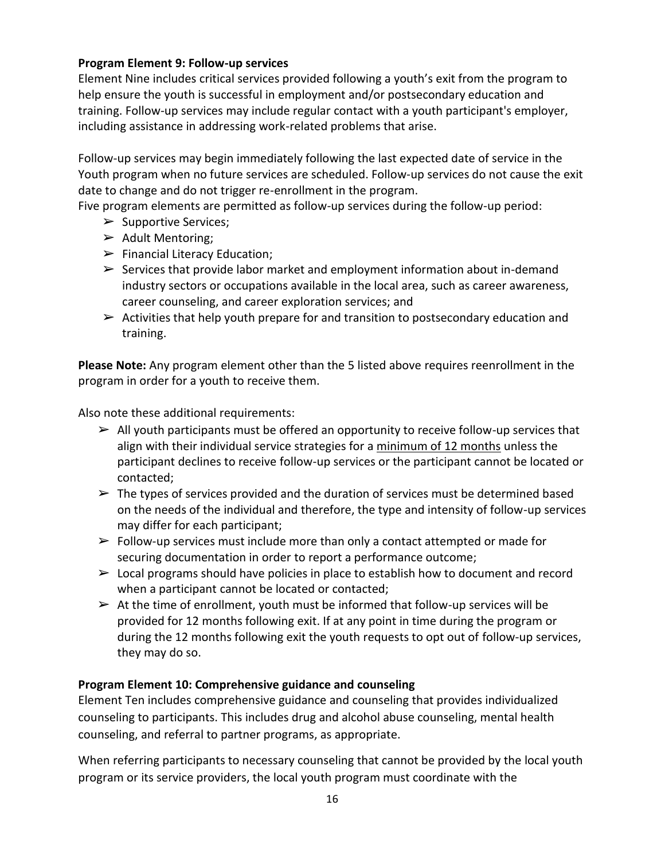#### **Program Element 9: Follow-up services**

Element Nine includes critical services provided following a youth's exit from the program to help ensure the youth is successful in employment and/or postsecondary education and training. Follow-up services may include regular contact with a youth participant's employer, including assistance in addressing work-related problems that arise.

Follow-up services may begin immediately following the last expected date of service in the Youth program when no future services are scheduled. Follow-up services do not cause the exit date to change and do not trigger re-enrollment in the program.

Five program elements are permitted as follow-up services during the follow-up period:

- $\triangleright$  Supportive Services;
- $\triangleright$  Adult Mentoring;
- $\blacktriangleright$  Financial Literacy Education;
- $\triangleright$  Services that provide labor market and employment information about in-demand industry sectors or occupations available in the local area, such as career awareness, career counseling, and career exploration services; and
- $\triangleright$  Activities that help youth prepare for and transition to postsecondary education and training.

**Please Note:** Any program element other than the 5 listed above requires reenrollment in the program in order for a youth to receive them.

Also note these additional requirements:

- $\triangleright$  All youth participants must be offered an opportunity to receive follow-up services that align with their individual service strategies for a minimum of 12 months unless the participant declines to receive follow-up services or the participant cannot be located or contacted;
- $\triangleright$  The types of services provided and the duration of services must be determined based on the needs of the individual and therefore, the type and intensity of follow-up services may differ for each participant;
- $\triangleright$  Follow-up services must include more than only a contact attempted or made for securing documentation in order to report a performance outcome;
- $\triangleright$  Local programs should have policies in place to establish how to document and record when a participant cannot be located or contacted;
- $\triangleright$  At the time of enrollment, youth must be informed that follow-up services will be provided for 12 months following exit. If at any point in time during the program or during the 12 months following exit the youth requests to opt out of follow-up services, they may do so.

## **Program Element 10: Comprehensive guidance and counseling**

Element Ten includes comprehensive guidance and counseling that provides individualized counseling to participants. This includes drug and alcohol abuse counseling, mental health counseling, and referral to partner programs, as appropriate.

When referring participants to necessary counseling that cannot be provided by the local youth program or its service providers, the local youth program must coordinate with the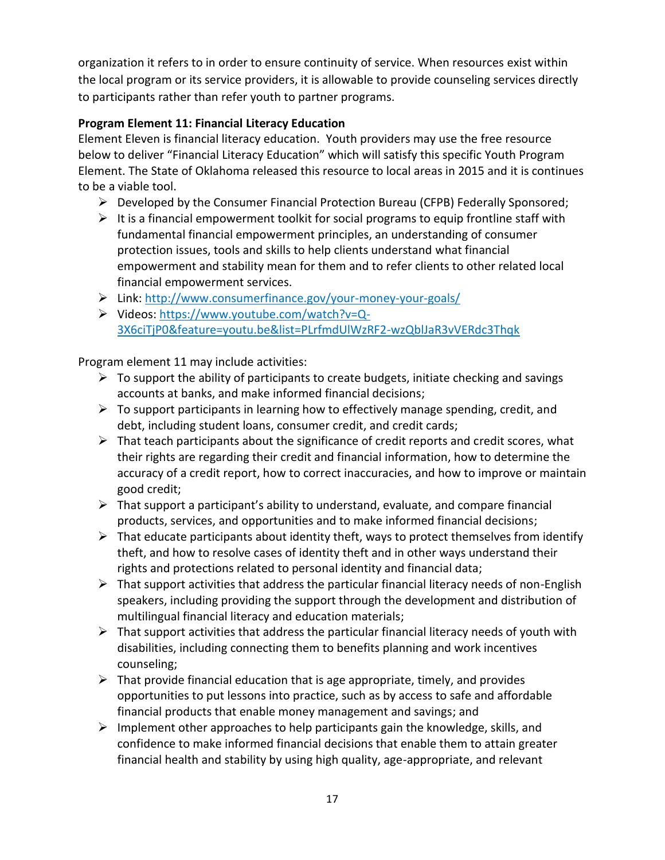organization it refers to in order to ensure continuity of service. When resources exist within the local program or its service providers, it is allowable to provide counseling services directly to participants rather than refer youth to partner programs.

# **Program Element 11: Financial Literacy Education**

Element Eleven is financial literacy education. Youth providers may use the free resource below to deliver "Financial Literacy Education" which will satisfy this specific Youth Program Element. The State of Oklahoma released this resource to local areas in 2015 and it is continues to be a viable tool.

- $\triangleright$  Developed by the Consumer Financial Protection Bureau (CFPB) Federally Sponsored;
- $\triangleright$  It is a financial empowerment toolkit for social programs to equip frontline staff with fundamental financial empowerment principles, an understanding of consumer protection issues, tools and skills to help clients understand what financial empowerment and stability mean for them and to refer clients to other related local financial empowerment services.
- Link: <http://www.consumerfinance.gov/your-money-your-goals/>
- Videos: [https://www.youtube.com/watch?v=Q-](https://www.youtube.com/watch?v=Q-3X6ciTjP0&feature=youtu.be&list=PLrfmdUlWzRF2-wzQblJaR3vVERdc3Thqk)[3X6ciTjP0&feature=youtu.be&list=PLrfmdUlWzRF2-wzQblJaR3vVERdc3Thqk](https://www.youtube.com/watch?v=Q-3X6ciTjP0&feature=youtu.be&list=PLrfmdUlWzRF2-wzQblJaR3vVERdc3Thqk)

Program element 11 may include activities:

- $\triangleright$  To support the ability of participants to create budgets, initiate checking and savings accounts at banks, and make informed financial decisions;
- $\triangleright$  To support participants in learning how to effectively manage spending, credit, and debt, including student loans, consumer credit, and credit cards;
- $\triangleright$  That teach participants about the significance of credit reports and credit scores, what their rights are regarding their credit and financial information, how to determine the accuracy of a credit report, how to correct inaccuracies, and how to improve or maintain good credit;
- $\triangleright$  That support a participant's ability to understand, evaluate, and compare financial products, services, and opportunities and to make informed financial decisions;
- $\triangleright$  That educate participants about identity theft, ways to protect themselves from identify theft, and how to resolve cases of identity theft and in other ways understand their rights and protections related to personal identity and financial data;
- $\triangleright$  That support activities that address the particular financial literacy needs of non-English speakers, including providing the support through the development and distribution of multilingual financial literacy and education materials;
- $\triangleright$  That support activities that address the particular financial literacy needs of youth with disabilities, including connecting them to benefits planning and work incentives counseling;
- $\triangleright$  That provide financial education that is age appropriate, timely, and provides opportunities to put lessons into practice, such as by access to safe and affordable financial products that enable money management and savings; and
- $\triangleright$  Implement other approaches to help participants gain the knowledge, skills, and confidence to make informed financial decisions that enable them to attain greater financial health and stability by using high quality, age-appropriate, and relevant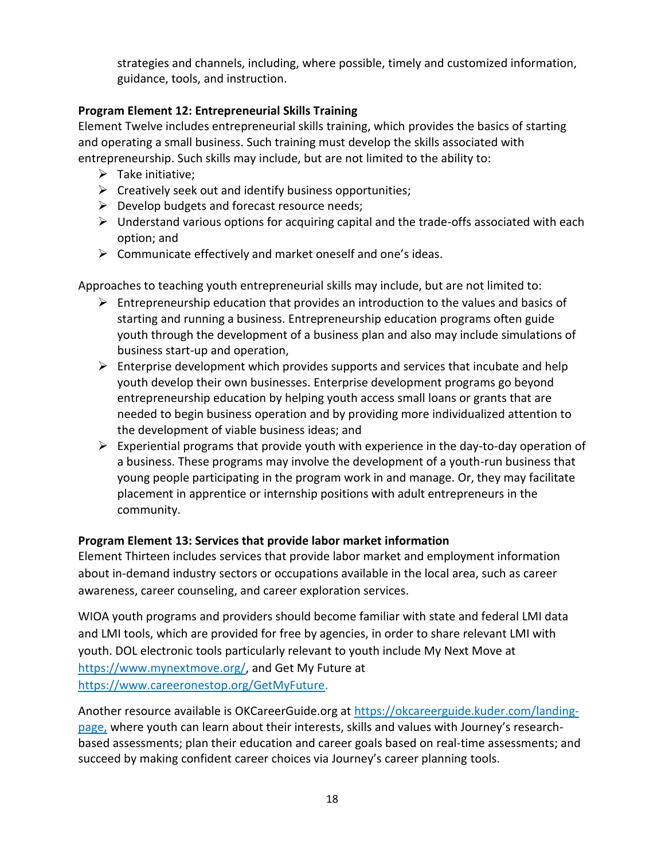strategies and channels, including, where possible, timely and customized information, guidance, tools, and instruction.

# **Program Element 12: Entrepreneurial Skills Training**

Element Twelve includes entrepreneurial skills training, which provides the basics of starting and operating a small business. Such training must develop the skills associated with entrepreneurship. Such skills may include, but are not limited to the ability to:

- $\triangleright$  Take initiative;
- $\triangleright$  Creatively seek out and identify business opportunities;
- $\triangleright$  Develop budgets and forecast resource needs;
- $\triangleright$  Understand various options for acquiring capital and the trade-offs associated with each option; and
- $\triangleright$  Communicate effectively and market oneself and one's ideas.

Approaches to teaching youth entrepreneurial skills may include, but are not limited to:

- $\triangleright$  Entrepreneurship education that provides an introduction to the values and basics of starting and running a business. Entrepreneurship education programs often guide youth through the development of a business plan and also may include simulations of business start-up and operation,
- $\triangleright$  Enterprise development which provides supports and services that incubate and help youth develop their own businesses. Enterprise development programs go beyond entrepreneurship education by helping youth access small loans or grants that are needed to begin business operation and by providing more individualized attention to the development of viable business ideas; and
- $\triangleright$  Experiential programs that provide youth with experience in the day-to-day operation of a business. These programs may involve the development of a youth-run business that young people participating in the program work in and manage. Or, they may facilitate placement in apprentice or internship positions with adult entrepreneurs in the community.

## **Program Element 13: Services that provide labor market information**

Element Thirteen includes services that provide labor market and employment information about in-demand industry sectors or occupations available in the local area, such as career awareness, career counseling, and career exploration services.

WIOA youth programs and providers should become familiar with state and federal LMI data and LMI tools, which are provided for free by agencies, in order to share relevant LMI with youth. DOL electronic tools particularly relevant to youth include My Next Move at [https://www.mynextmove.org/,](https://www.mynextmove.org/) and Get My Future at [https://www.careeronestop.org/GetMyFuture.](https://www.careeronestop.org/GetMyFuture)

Another resource available is OKCareerGuide.org at [https://okcareerguide.kuder.com/landing](https://okcareerguide.kuder.com/landing-page)[page,](https://okcareerguide.kuder.com/landing-page) where youth can learn about their interests, skills and values with Journey's researchbased assessments; plan their education and career goals based on real-time assessments; and succeed by making confident career choices via Journey's career planning tools.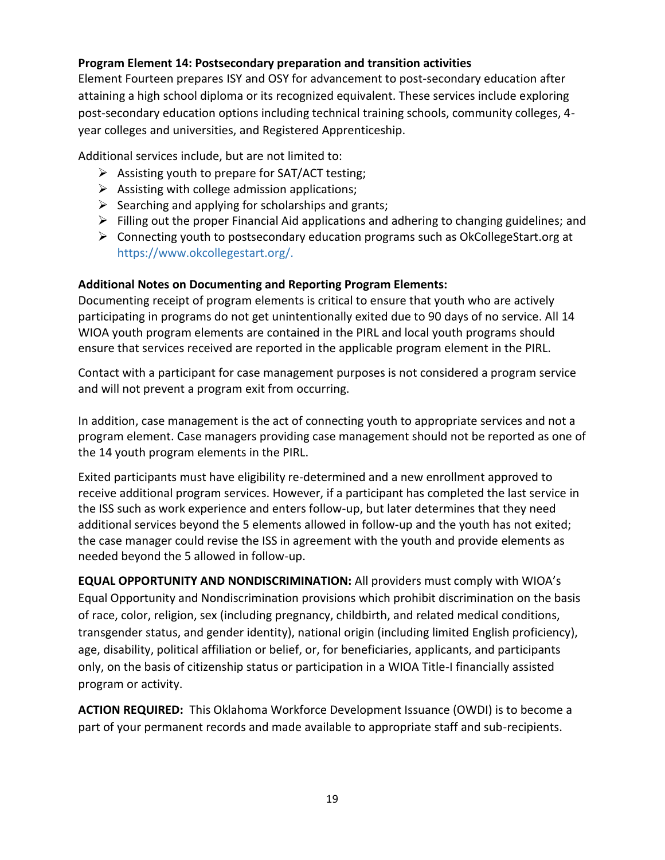## **Program Element 14: Postsecondary preparation and transition activities**

Element Fourteen prepares ISY and OSY for advancement to post-secondary education after attaining a high school diploma or its recognized equivalent. These services include exploring post-secondary education options including technical training schools, community colleges, 4 year colleges and universities, and Registered Apprenticeship.

Additional services include, but are not limited to:

- $\triangleright$  Assisting youth to prepare for SAT/ACT testing;
- $\triangleright$  Assisting with college admission applications;
- $\triangleright$  Searching and applying for scholarships and grants;
- $\triangleright$  Filling out the proper Financial Aid applications and adhering to changing guidelines; and
- $\triangleright$  Connecting youth to postsecondary education programs such as OkCollegeStart.org at https://www.okcollegestart.org/.

## **Additional Notes on Documenting and Reporting Program Elements:**

Documenting receipt of program elements is critical to ensure that youth who are actively participating in programs do not get unintentionally exited due to 90 days of no service. All 14 WIOA youth program elements are contained in the PIRL and local youth programs should ensure that services received are reported in the applicable program element in the PIRL.

Contact with a participant for case management purposes is not considered a program service and will not prevent a program exit from occurring.

In addition, case management is the act of connecting youth to appropriate services and not a program element. Case managers providing case management should not be reported as one of the 14 youth program elements in the PIRL.

Exited participants must have eligibility re-determined and a new enrollment approved to receive additional program services. However, if a participant has completed the last service in the ISS such as work experience and enters follow-up, but later determines that they need additional services beyond the 5 elements allowed in follow-up and the youth has not exited; the case manager could revise the ISS in agreement with the youth and provide elements as needed beyond the 5 allowed in follow-up.

**EQUAL OPPORTUNITY AND NONDISCRIMINATION:** All providers must comply with WIOA's Equal Opportunity and Nondiscrimination provisions which prohibit discrimination on the basis of race, color, religion, sex (including pregnancy, childbirth, and related medical conditions, transgender status, and gender identity), national origin (including limited English proficiency), age, disability, political affiliation or belief, or, for beneficiaries, applicants, and participants only, on the basis of citizenship status or participation in a WIOA Title-I financially assisted program or activity.

**ACTION REQUIRED:** This Oklahoma Workforce Development Issuance (OWDI) is to become a part of your permanent records and made available to appropriate staff and sub-recipients.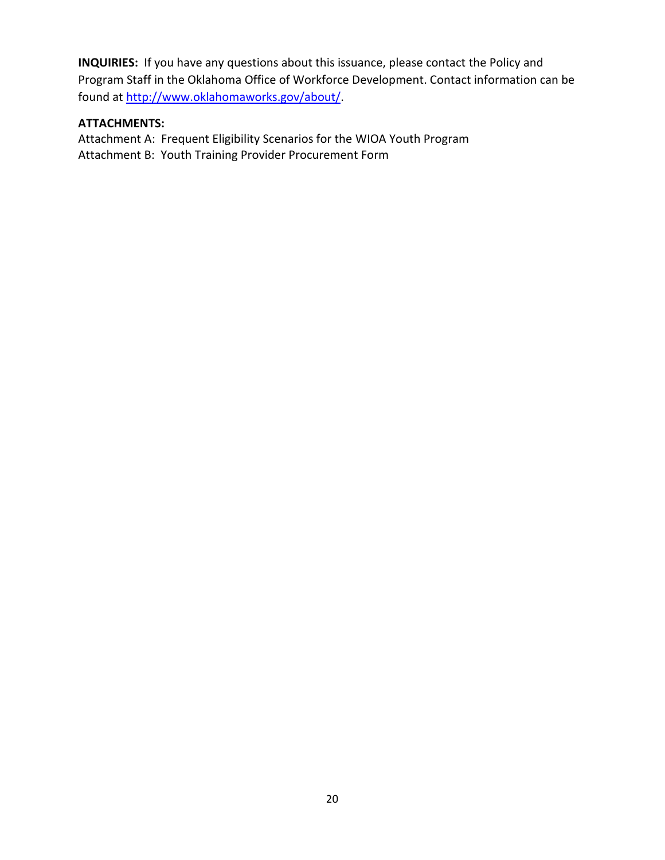**INQUIRIES:** If you have any questions about this issuance, please contact the Policy and Program Staff in the Oklahoma Office of Workforce Development. Contact information can be found at [http://www.oklahomaworks.gov/about/.](http://www.oklahomaworks.gov/about/)

#### **ATTACHMENTS:**

Attachment A: Frequent Eligibility Scenarios for the WIOA Youth Program Attachment B: Youth Training Provider Procurement Form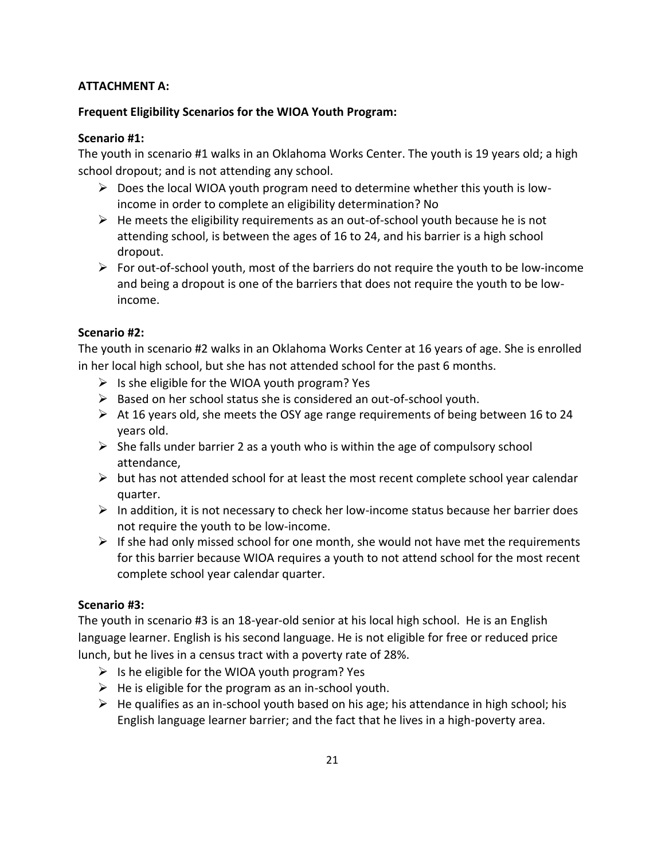## **ATTACHMENT A:**

## **Frequent Eligibility Scenarios for the WIOA Youth Program:**

#### **Scenario #1:**

The youth in scenario #1 walks in an Oklahoma Works Center. The youth is 19 years old; a high school dropout; and is not attending any school.

- $\triangleright$  Does the local WIOA youth program need to determine whether this youth is lowincome in order to complete an eligibility determination? No
- $\triangleright$  He meets the eligibility requirements as an out-of-school youth because he is not attending school, is between the ages of 16 to 24, and his barrier is a high school dropout.
- $\triangleright$  For out-of-school youth, most of the barriers do not require the youth to be low-income and being a dropout is one of the barriers that does not require the youth to be lowincome.

## **Scenario #2:**

The youth in scenario #2 walks in an Oklahoma Works Center at 16 years of age. She is enrolled in her local high school, but she has not attended school for the past 6 months.

- $\triangleright$  Is she eligible for the WIOA youth program? Yes
- $\triangleright$  Based on her school status she is considered an out-of-school youth.
- $\triangleright$  At 16 years old, she meets the OSY age range requirements of being between 16 to 24 years old.
- $\triangleright$  She falls under barrier 2 as a youth who is within the age of compulsory school attendance,
- $\triangleright$  but has not attended school for at least the most recent complete school year calendar quarter.
- $\triangleright$  In addition, it is not necessary to check her low-income status because her barrier does not require the youth to be low-income.
- $\triangleright$  If she had only missed school for one month, she would not have met the requirements for this barrier because WIOA requires a youth to not attend school for the most recent complete school year calendar quarter.

## **Scenario #3:**

The youth in scenario #3 is an 18-year-old senior at his local high school. He is an English language learner. English is his second language. He is not eligible for free or reduced price lunch, but he lives in a census tract with a poverty rate of 28%.

- $\triangleright$  Is he eligible for the WIOA youth program? Yes
- $\triangleright$  He is eligible for the program as an in-school youth.
- $\triangleright$  He qualifies as an in-school youth based on his age; his attendance in high school; his English language learner barrier; and the fact that he lives in a high-poverty area.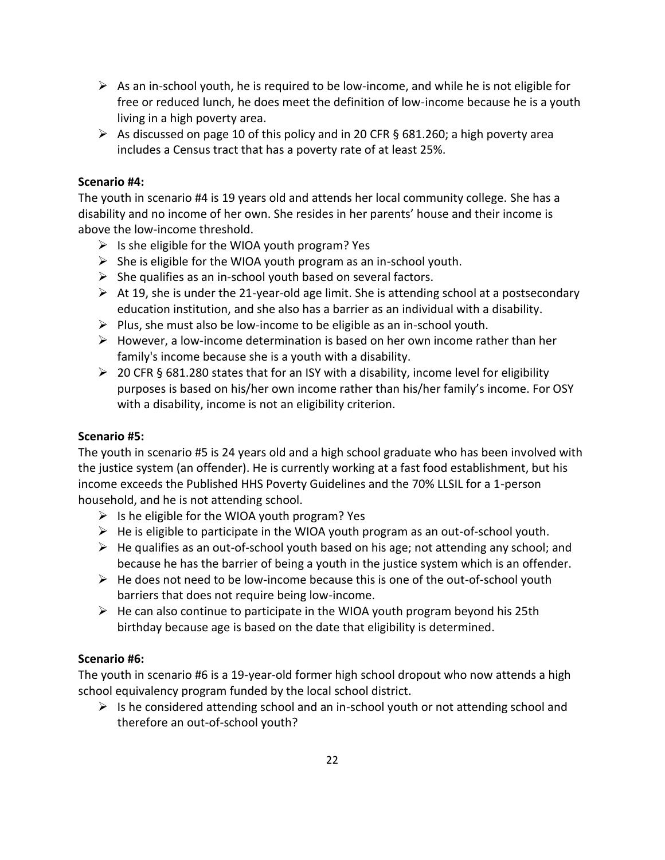- $\triangleright$  As an in-school youth, he is required to be low-income, and while he is not eligible for free or reduced lunch, he does meet the definition of low-income because he is a youth living in a high poverty area.
- As discussed on page 10 of this policy and in 20 CFR § 681.260; a high poverty area includes a Census tract that has a poverty rate of at least 25%.

#### **Scenario #4:**

The youth in scenario #4 is 19 years old and attends her local community college. She has a disability and no income of her own. She resides in her parents' house and their income is above the low-income threshold.

- $\triangleright$  Is she eligible for the WIOA youth program? Yes
- $\triangleright$  She is eligible for the WIOA youth program as an in-school youth.
- $\triangleright$  She qualifies as an in-school youth based on several factors.
- $\triangleright$  At 19, she is under the 21-year-old age limit. She is attending school at a postsecondary education institution, and she also has a barrier as an individual with a disability.
- $\triangleright$  Plus, she must also be low-income to be eligible as an in-school youth.
- $\triangleright$  However, a low-income determination is based on her own income rather than her family's income because she is a youth with a disability.
- $\geq 20$  CFR § 681.280 states that for an ISY with a disability, income level for eligibility purposes is based on his/her own income rather than his/her family's income. For OSY with a disability, income is not an eligibility criterion.

## **Scenario #5:**

The youth in scenario #5 is 24 years old and a high school graduate who has been involved with the justice system (an offender). He is currently working at a fast food establishment, but his income exceeds the Published HHS Poverty Guidelines and the 70% LLSIL for a 1-person household, and he is not attending school.

- $\triangleright$  Is he eligible for the WIOA youth program? Yes
- $\triangleright$  He is eligible to participate in the WIOA youth program as an out-of-school youth.
- $\triangleright$  He qualifies as an out-of-school youth based on his age; not attending any school; and because he has the barrier of being a youth in the justice system which is an offender.
- $\triangleright$  He does not need to be low-income because this is one of the out-of-school youth barriers that does not require being low-income.
- $\triangleright$  He can also continue to participate in the WIOA youth program beyond his 25th birthday because age is based on the date that eligibility is determined.

## **Scenario #6:**

The youth in scenario #6 is a 19-year-old former high school dropout who now attends a high school equivalency program funded by the local school district.

 $\triangleright$  Is he considered attending school and an in-school youth or not attending school and therefore an out-of-school youth?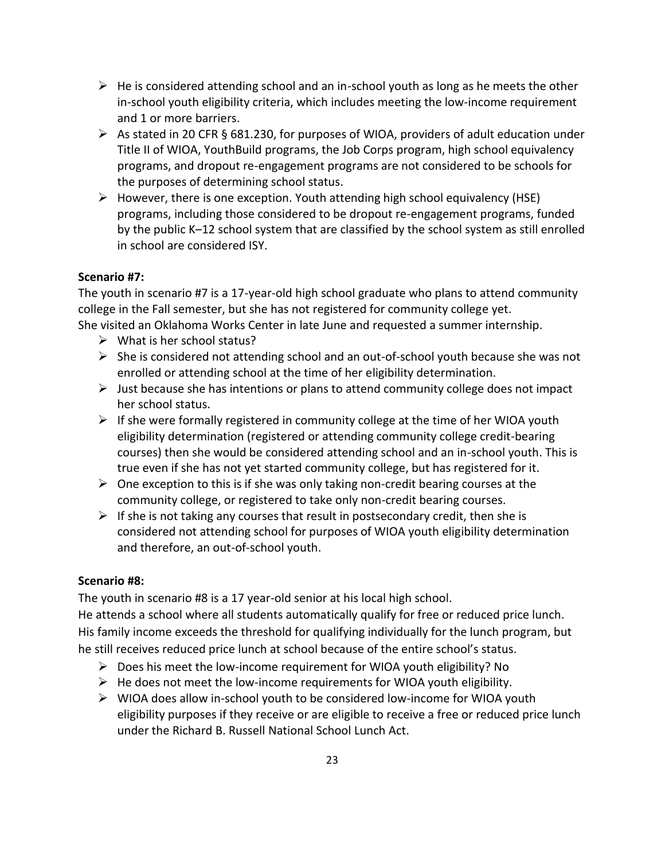- $\triangleright$  He is considered attending school and an in-school youth as long as he meets the other in-school youth eligibility criteria, which includes meeting the low-income requirement and 1 or more barriers.
- As stated in 20 CFR § 681.230, for purposes of WIOA, providers of adult education under Title II of WIOA, YouthBuild programs, the Job Corps program, high school equivalency programs, and dropout re-engagement programs are not considered to be schools for the purposes of determining school status.
- $\triangleright$  However, there is one exception. Youth attending high school equivalency (HSE) programs, including those considered to be dropout re-engagement programs, funded by the public K–12 school system that are classified by the school system as still enrolled in school are considered ISY.

#### **Scenario #7:**

The youth in scenario #7 is a 17-year-old high school graduate who plans to attend community college in the Fall semester, but she has not registered for community college yet. She visited an Oklahoma Works Center in late June and requested a summer internship.

- $\triangleright$  What is her school status?
- $\triangleright$  She is considered not attending school and an out-of-school youth because she was not enrolled or attending school at the time of her eligibility determination.
- $\triangleright$  Just because she has intentions or plans to attend community college does not impact her school status.
- $\triangleright$  If she were formally registered in community college at the time of her WIOA youth eligibility determination (registered or attending community college credit-bearing courses) then she would be considered attending school and an in-school youth. This is true even if she has not yet started community college, but has registered for it.
- $\triangleright$  One exception to this is if she was only taking non-credit bearing courses at the community college, or registered to take only non-credit bearing courses.
- $\triangleright$  If she is not taking any courses that result in postsecondary credit, then she is considered not attending school for purposes of WIOA youth eligibility determination and therefore, an out-of-school youth.

## **Scenario #8:**

The youth in scenario #8 is a 17 year-old senior at his local high school.

He attends a school where all students automatically qualify for free or reduced price lunch. His family income exceeds the threshold for qualifying individually for the lunch program, but he still receives reduced price lunch at school because of the entire school's status.

- $\triangleright$  Does his meet the low-income requirement for WIOA youth eligibility? No
- $\triangleright$  He does not meet the low-income requirements for WIOA youth eligibility.
- $\triangleright$  WIOA does allow in-school youth to be considered low-income for WIOA youth eligibility purposes if they receive or are eligible to receive a free or reduced price lunch under the Richard B. Russell National School Lunch Act.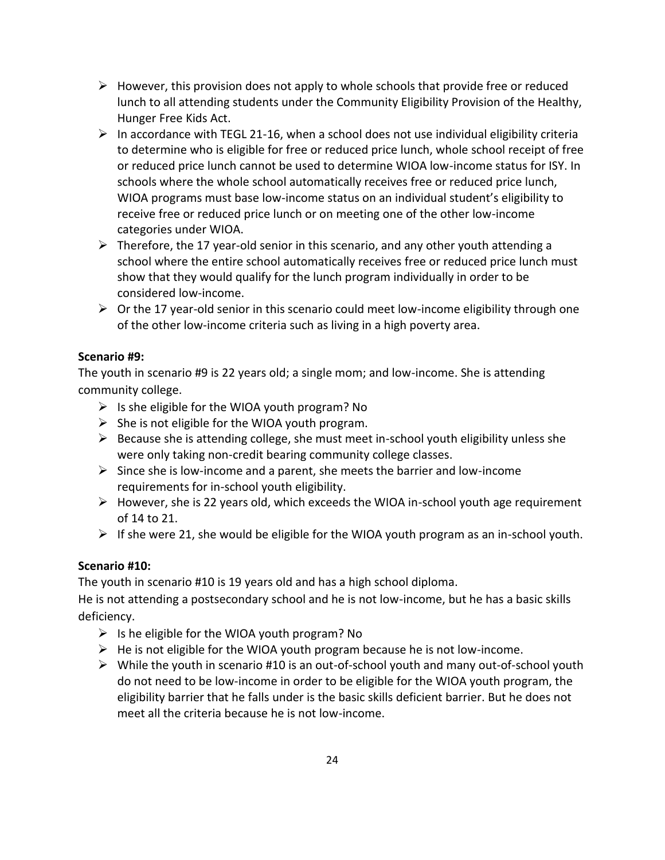- $\triangleright$  However, this provision does not apply to whole schools that provide free or reduced lunch to all attending students under the Community Eligibility Provision of the Healthy, Hunger Free Kids Act.
- $\triangleright$  In accordance with TEGL 21-16, when a school does not use individual eligibility criteria to determine who is eligible for free or reduced price lunch, whole school receipt of free or reduced price lunch cannot be used to determine WIOA low-income status for ISY. In schools where the whole school automatically receives free or reduced price lunch, WIOA programs must base low-income status on an individual student's eligibility to receive free or reduced price lunch or on meeting one of the other low-income categories under WIOA.
- $\triangleright$  Therefore, the 17 year-old senior in this scenario, and any other youth attending a school where the entire school automatically receives free or reduced price lunch must show that they would qualify for the lunch program individually in order to be considered low-income.
- $\triangleright$  Or the 17 year-old senior in this scenario could meet low-income eligibility through one of the other low-income criteria such as living in a high poverty area.

## **Scenario #9:**

The youth in scenario #9 is 22 years old; a single mom; and low-income. She is attending community college.

- $\triangleright$  Is she eligible for the WIOA youth program? No
- $\triangleright$  She is not eligible for the WIOA youth program.
- $\triangleright$  Because she is attending college, she must meet in-school youth eligibility unless she were only taking non-credit bearing community college classes.
- $\triangleright$  Since she is low-income and a parent, she meets the barrier and low-income requirements for in-school youth eligibility.
- $\triangleright$  However, she is 22 years old, which exceeds the WIOA in-school youth age requirement of 14 to 21.
- $\triangleright$  If she were 21, she would be eligible for the WIOA youth program as an in-school youth.

## **Scenario #10:**

The youth in scenario #10 is 19 years old and has a high school diploma.

He is not attending a postsecondary school and he is not low-income, but he has a basic skills deficiency.

- $\triangleright$  Is he eligible for the WIOA youth program? No
- $\triangleright$  He is not eligible for the WIOA youth program because he is not low-income.
- $\triangleright$  While the youth in scenario #10 is an out-of-school youth and many out-of-school youth do not need to be low-income in order to be eligible for the WIOA youth program, the eligibility barrier that he falls under is the basic skills deficient barrier. But he does not meet all the criteria because he is not low-income.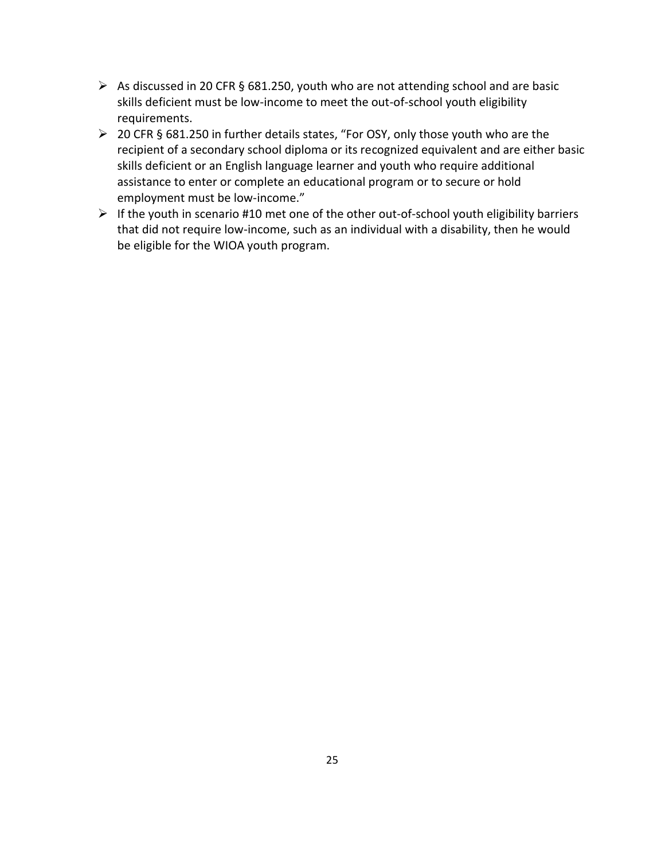- $\triangleright$  As discussed in 20 CFR § 681.250, youth who are not attending school and are basic skills deficient must be low-income to meet the out-of-school youth eligibility requirements.
- 20 CFR § 681.250 in further details states, "For OSY, only those youth who are the recipient of a secondary school diploma or its recognized equivalent and are either basic skills deficient or an English language learner and youth who require additional assistance to enter or complete an educational program or to secure or hold employment must be low-income."
- $\triangleright$  If the youth in scenario #10 met one of the other out-of-school youth eligibility barriers that did not require low-income, such as an individual with a disability, then he would be eligible for the WIOA youth program.